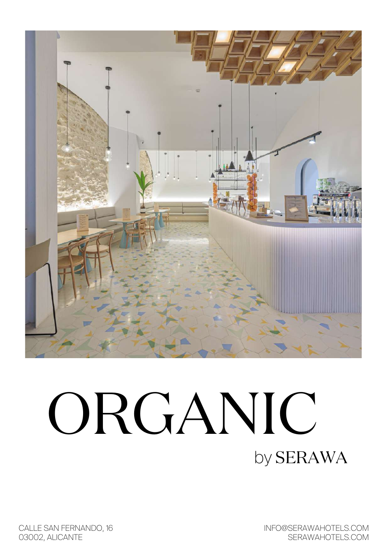

# ORGANIC by SERAWA

CALLE SAN FERNANDO, 16 03002, ALICANTE

INFO@SERAWAHOTELS.COM SERAWAHOTELS.COM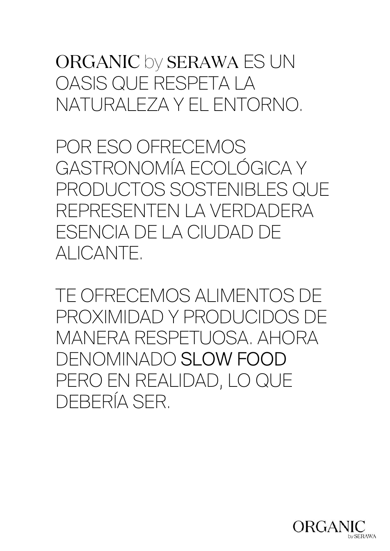# ORGANIC by SERAWA ES UN OASIS QUE RESPETA LA NATURALEZA Y EL ENTORNO.

POR ESO OFRECEMOS GASTRONOMÍA ECOLÓGICA Y PRODUCTOS SOSTENIBLES QUE REPRESENTEN LA VERDADERA ESENCIA DE LA CIUDAD DE ALICANTE.

TE OFRECEMOS ALIMENTOS DE PROXIMIDAD Y PRODUCIDOS DE MANERA RESPETUOSA. AHORA DENOMINADO SLOW FOOD PERO EN REALIDAD, LO QUE DEBERÍA SER.

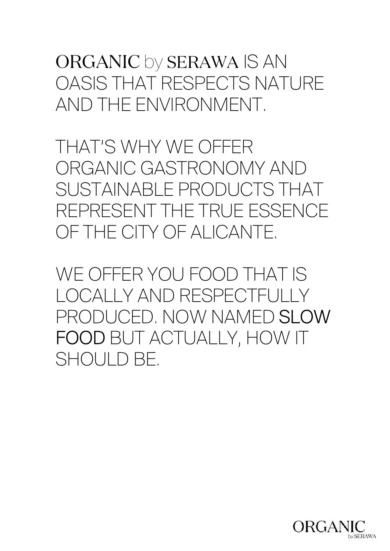# ORGANIC by SERAWA IS AN OASIS THAT RESPECTS NATURE AND THE ENVIRONMENT.

THAT'S WHY WE OFFER ORGANIC GASTRONOMY AND SUSTAINABLE PRODUCTS THAT REPRESENT THE TRUE ESSENCE OF THE CITY OF ALICANTE.

WE OFFER YOU FOOD THAT IS LOCALLY AND RESPECTFULLY PRODUCED. NOW NAMED SLOW FOOD BUT ACTUALLY, HOW IT SHOULD BE.

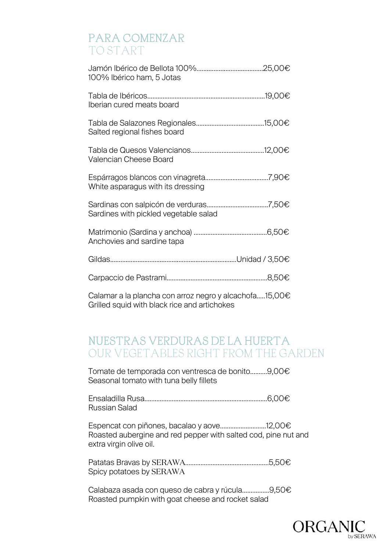#### PARA COMENZAR TO START

| 100% Ibérico ham, 5 Jotas                              |  |
|--------------------------------------------------------|--|
| Iberian cured meats board                              |  |
| Salted regional fishes board                           |  |
| Valencian Cheese Board                                 |  |
| White asparagus with its dressing                      |  |
| Sardines with pickled vegetable salad                  |  |
| Anchovies and sardine tapa                             |  |
|                                                        |  |
|                                                        |  |
| Calamar a la plancha con arroz negro y alcachofa15,00€ |  |

Grilled squid with black rice and artichokes

## NUESTRAS VERDURAS DE LA HUERTA OUR VEGETABLES RIGHT FROM THE GARDEN

Tomate de temporada con ventresca de bonito..........9,00€ Seasonal tomato with tuna belly fillets

Ensaladilla Rusa........................................................................6,00€ Russian Salad

Espencat con piñones, bacalao y aove...........................12,00€ Roasted aubergine and red pepper with salted cod, pine nut and extra virgin olive oil.

Patatas Bravas by SERAWA.................................................5,50€ Spicy potatoes by SERAWA

Calabaza asada con queso de cabra y rúcula................9,50€ Roasted pumpkin with goat cheese and rocket salad

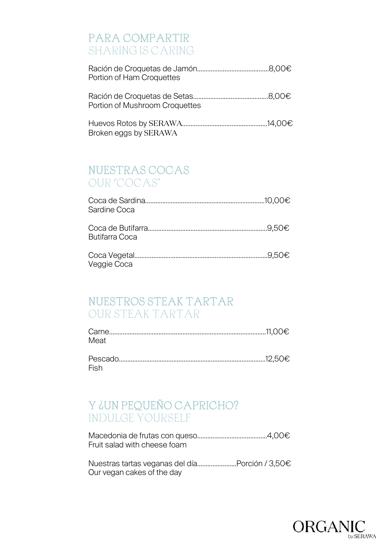## PARA COMPARTIR SHARING IS CARING

| Portion of Ham Croquettes      |  |
|--------------------------------|--|
| Portion of Mushroom Croquettes |  |
| Broken eggs by SERAWA          |  |

#### NUESTRAS COCAS OUR ''COCAS''

| Sardine Coca          |  |
|-----------------------|--|
| <b>Butifarra Coca</b> |  |
| Veggie Coca           |  |

#### NUESTROS STEAK TARTAR OUR STEAK TARTAR

| Carn |  |
|------|--|
| Meat |  |

Pescado......................................................................................12,50€ Fish

## Y ¿UN PEQUEÑO CAPRICHO? INDULGE YOURSELF

Macedonia de frutas con queso.........................................4,00€ Fruit salad with cheese foam

Nuestras tartas veganas del día.......................Porción / 3,50€ Our vegan cakes of the day